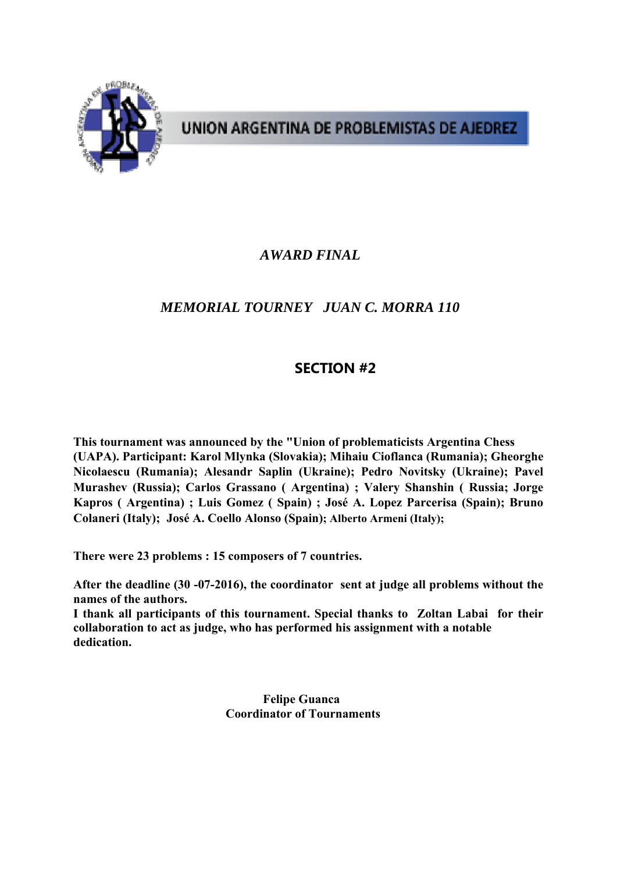

# UNION ARGENTINA DE PROBLEMISTAS DE AJEDREZ

## *AWARD FINAL*

## *MEMORIAL TOURNEY JUAN C. MORRA 110*

### **SECTION #2**

**This tournament was announced by the "Union of problematicists Argentina Chess (UAPA). Participant: Karol Mlynka (Slovakia); Mihaiu Cioflanca (Rumania); Gheorghe Nicolaescu (Rumania); Alesandr Saplin (Ukraine); Pedro Novitsky (Ukraine); Pavel Murashev (Russia); Carlos Grassano ( Argentina) ; Valery Shanshin ( Russia; Jorge Kapros ( Argentina) ; Luis Gomez ( Spain) ; José A. Lopez Parcerisa (Spain); Bruno Colaneri (Italy); José A. Coello Alonso (Spain); Alberto Armeni (Italy);** 

**There were 23 problems : 15 composers of 7 countries.** 

**After the deadline (30 -07-2016), the coordinator sent at judge all problems without the names of the authors.** 

**I thank all participants of this tournament. Special thanks to Zoltan Labai for their collaboration to act as judge, who has performed his assignment with a notable dedication.** 

> **Felipe Guanca Coordinator of Tournaments**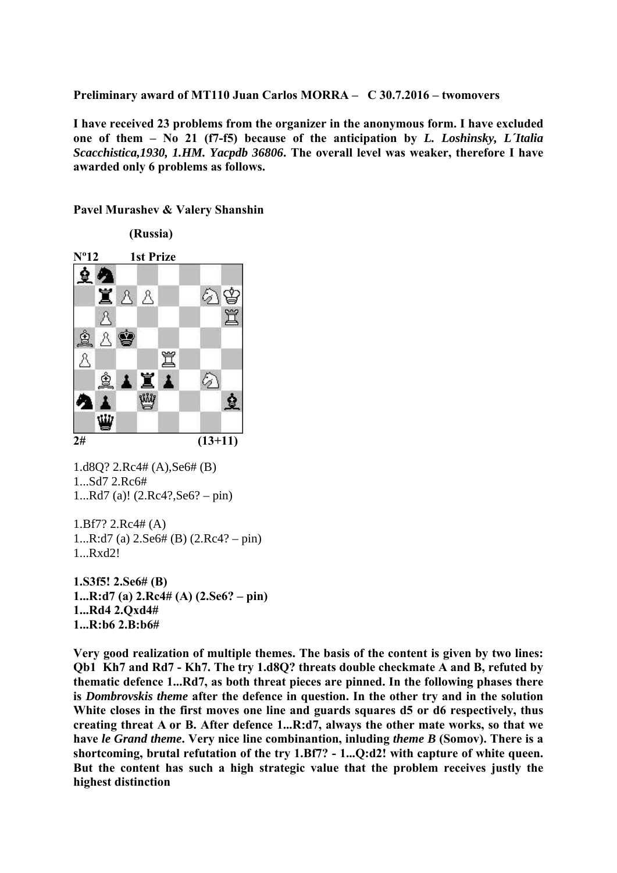**Preliminary award of MT110 Juan Carlos MORRA – C 30.7.2016 – twomovers**

**I have received 23 problems from the organizer in the anonymous form. I have excluded one of them – No 21 (f7-f5) because of the anticipation by** *L. Loshinsky, L´Italia Scacchistica,1930, 1.HM. Yacpdb 36806***. The overall level was weaker, therefore I have awarded only 6 problems as follows.** 

#### **Pavel Murashev & Valery Shanshin**

 **(Russia) Nº12 1st Prize**   $22$ 置 8 8 ନ୍ଧ 買 A 人會 曽 罝 Å  $\bigcirc$ ☝ **ANA** Wy ė Ą  $\mathbf{r}$ ₩ **2# (13+11)** 

1.d8Q? 2.Rc4# (A),Se6# (B) 1...Sd7 2.Rc6# 1...Rd7 (a)! (2.Rc4?,Se6? – pin)

1.Bf7? 2.Rc4# (A) 1...R:d7 (a) 2.Se6# (B) (2.Rc4? – pin) 1...Rxd2!

**1.S3f5! 2.Se6# (B) 1...R:d7 (a) 2.Rc4# (A) (2.Se6? – pin) 1...Rd4 2.Qxd4# 1...R:b6 2.B:b6#** 

**Very good realization of multiple themes. The basis of the content is given by two lines: Qb1 Kh7 and Rd7 - Kh7. The try 1.d8Q? threats double checkmate A and B, refuted by thematic defence 1...Rd7, as both threat pieces are pinned. In the following phases there is** *Dombrovskis theme* **after the defence in question. In the other try and in the solution White closes in the first moves one line and guards squares d5 or d6 respectively, thus creating threat A or B. After defence 1...R:d7, always the other mate works, so that we have** *le Grand theme***. Very nice line combinantion, inluding** *theme B* **(Somov). There is a shortcoming, brutal refutation of the try 1.Bf7? - 1...Q:d2! with capture of white queen. But the content has such a high strategic value that the problem receives justly the highest distinction**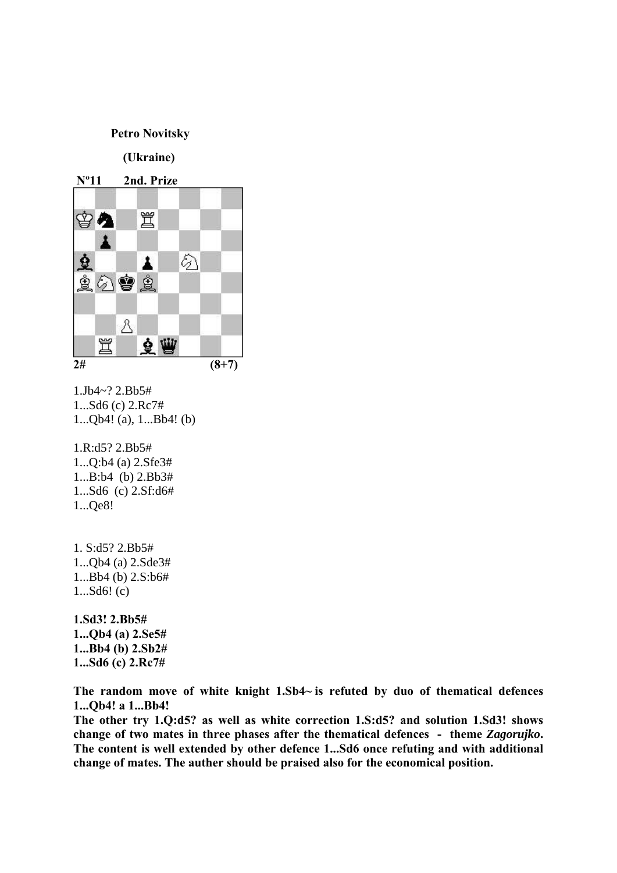#### **Petro Novitsky**

 **(Ukraine)** 



1.Jb4~? 2.Bb5# 1...Sd6 (c) 2.Rc7# 1...Qb4! (a), 1...Bb4! (b)

1.R:d5? 2.Bb5# 1...Q:b4 (a) 2.Sfe3# 1...B:b4 (b) 2.Bb3# 1...Sd6 (c) 2.Sf:d6# 1...Qe8!

1. S:d5? 2.Bb5# 1...Qb4 (a) 2.Sde3# 1...Bb4 (b) 2.S:b6# 1...Sd6! (c)

**1.Sd3! 2.Bb5# 1...Qb4 (a) 2.Se5# 1...Bb4 (b) 2.Sb2# 1...Sd6 (c) 2.Rc7#** 

**The random move of white knight 1.Sb4~ is refuted by duo of thematical defences 1...Qb4! a 1...Bb4!** 

**The other try 1.Q:d5? as well as white correction 1.S:d5? and solution 1.Sd3! shows change of two mates in three phases after the thematical defences - theme** *Zagorujko***. The content is well extended by other defence 1...Sd6 once refuting and with additional change of mates. The auther should be praised also for the economical position.**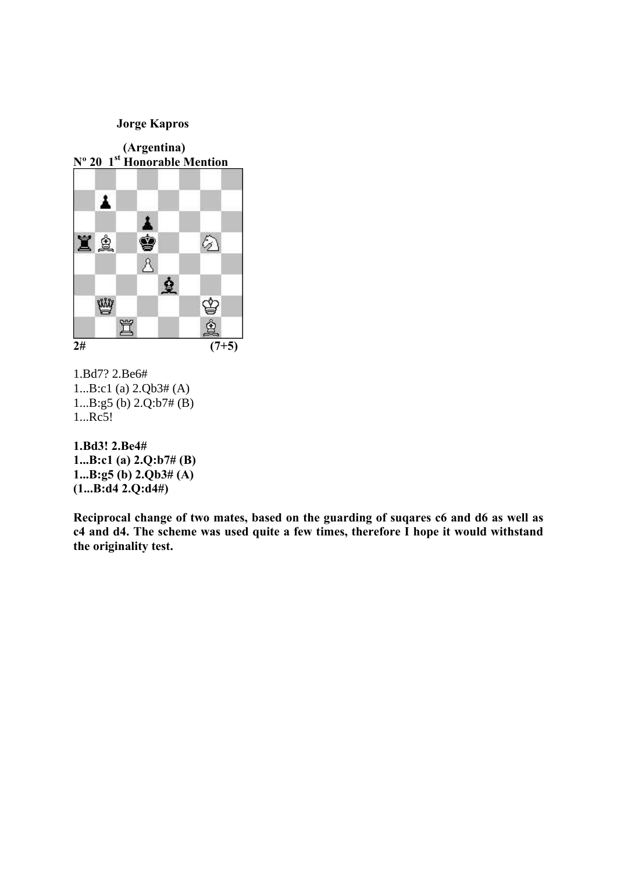### **Jorge Kapros**



1.Bd7? 2.Be6# 1...B:c1 (a) 2.Qb3# (A) 1...B:g5 (b) 2.Q:b7# (B) 1...Rc5!

### **1.Bd3! 2.Be4# 1...B:c1 (a) 2.Q:b7# (B) 1...B:g5 (b) 2.Qb3# (A) (1...B:d4 2.Q:d4#)**

**Reciprocal change of two mates, based on the guarding of suqares c6 and d6 as well as c4 and d4. The scheme was used quite a few times, therefore I hope it would withstand the originality test.**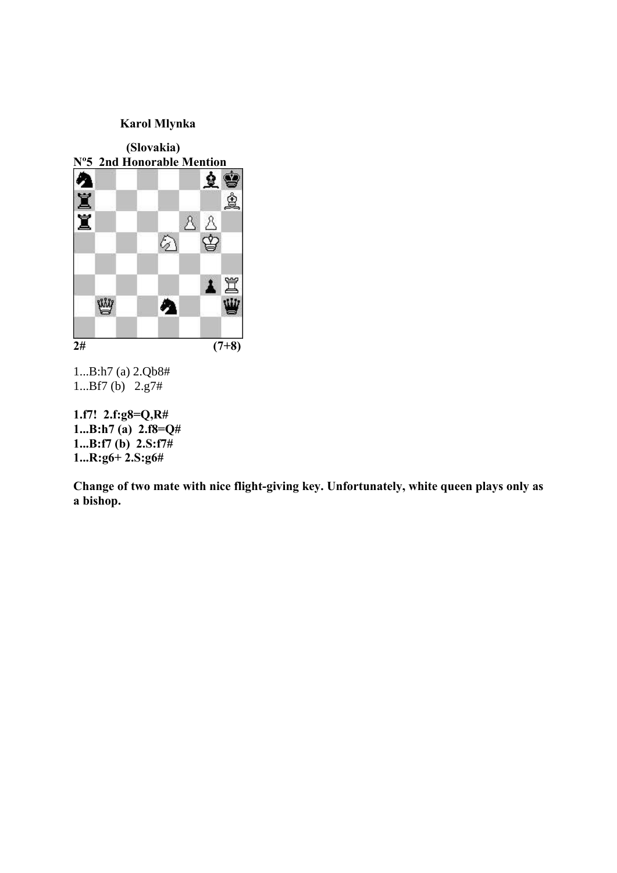

1...B:h7 (a) 2.Qb8# 1...Bf7 (b) 2.g7#

**1.f7! 2.f:g8=Q,R# 1...B:h7 (a) 2.f8=Q# 1...B:f7 (b) 2.S:f7# 1...R:g6+ 2.S:g6#** 

**Change of two mate with nice flight-giving key. Unfortunately, white queen plays only as a bishop.**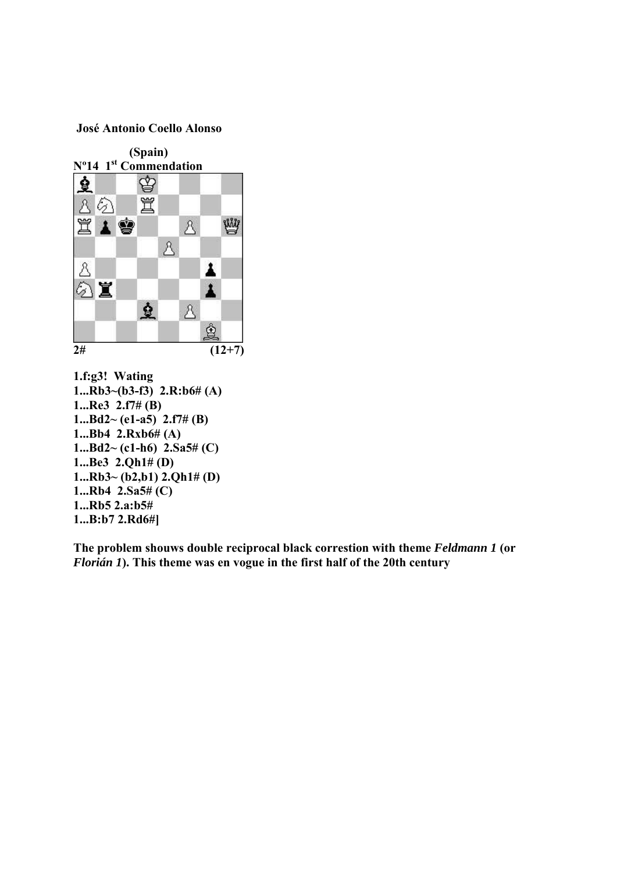#### **José Antonio Coello Alonso**



**1.f:g3! Wating 1...Rb3~(b3-f3) 2.R:b6# (A) 1...Re3 2.f7# (B) 1...Bd2~ (e1-a5) 2.f7# (B) 1...Bb4 2.Rxb6# (A) 1...Bd2~ (c1-h6) 2.Sa5# (C) 1...Be3 2.Qh1# (D) 1...Rb3~ (b2,b1) 2.Qh1# (D) 1...Rb4 2.Sa5# (C) 1...Rb5 2.a:b5# 1...B:b7 2.Rd6#]** 

**The problem shouws double reciprocal black correstion with theme** *Feldmann 1* **(or**  *Florián 1***). This theme was en vogue in the first half of the 20th century**